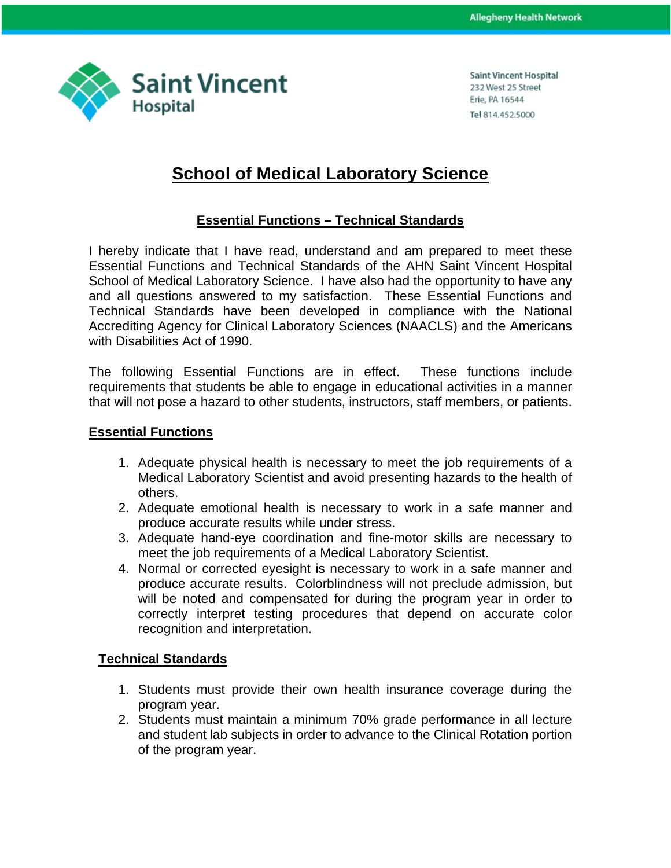

**Saint Vincent Hospital** 232 West 25 Street Erie, PA 16544 Tel 814.452.5000

## **School of Medical Laboratory Science**

## **Essential Functions – Technical Standards**

I hereby indicate that I have read, understand and am prepared to meet these Essential Functions and Technical Standards of the AHN Saint Vincent Hospital School of Medical Laboratory Science. I have also had the opportunity to have any and all questions answered to my satisfaction. These Essential Functions and Technical Standards have been developed in compliance with the National Accrediting Agency for Clinical Laboratory Sciences (NAACLS) and the Americans with Disabilities Act of 1990.

The following Essential Functions are in effect. These functions include requirements that students be able to engage in educational activities in a manner that will not pose a hazard to other students, instructors, staff members, or patients.

## **Essential Functions**

- 1. Adequate physical health is necessary to meet the job requirements of a Medical Laboratory Scientist and avoid presenting hazards to the health of others.
- 2. Adequate emotional health is necessary to work in a safe manner and produce accurate results while under stress.
- 3. Adequate hand-eye coordination and fine-motor skills are necessary to meet the job requirements of a Medical Laboratory Scientist.
- 4. Normal or corrected eyesight is necessary to work in a safe manner and produce accurate results. Colorblindness will not preclude admission, but will be noted and compensated for during the program year in order to correctly interpret testing procedures that depend on accurate color recognition and interpretation.

## **Technical Standards**

- 1. Students must provide their own health insurance coverage during the program year.
- 2. Students must maintain a minimum 70% grade performance in all lecture and student lab subjects in order to advance to the Clinical Rotation portion of the program year.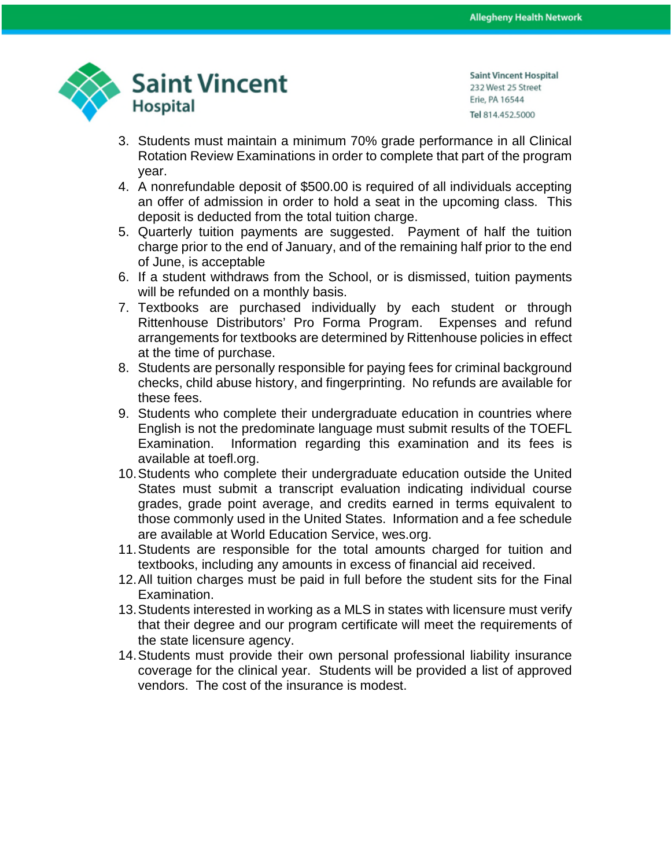

**Saint Vincent Hospital** 232 West 25 Street Erie, PA 16544 Tel 814.452.5000

- 3. Students must maintain a minimum 70% grade performance in all Clinical Rotation Review Examinations in order to complete that part of the program year.
- 4. A nonrefundable deposit of \$500.00 is required of all individuals accepting an offer of admission in order to hold a seat in the upcoming class. This deposit is deducted from the total tuition charge.
- 5. Quarterly tuition payments are suggested. Payment of half the tuition charge prior to the end of January, and of the remaining half prior to the end of June, is acceptable
- 6. If a student withdraws from the School, or is dismissed, tuition payments will be refunded on a monthly basis.
- 7. Textbooks are purchased individually by each student or through Rittenhouse Distributors' Pro Forma Program. Expenses and refund arrangements for textbooks are determined by Rittenhouse policies in effect at the time of purchase.
- 8. Students are personally responsible for paying fees for criminal background checks, child abuse history, and fingerprinting. No refunds are available for these fees.
- 9. Students who complete their undergraduate education in countries where English is not the predominate language must submit results of the TOEFL Examination. Information regarding this examination and its fees is available at toefl.org.
- 10.Students who complete their undergraduate education outside the United States must submit a transcript evaluation indicating individual course grades, grade point average, and credits earned in terms equivalent to those commonly used in the United States. Information and a fee schedule are available at World Education Service, wes.org.
- 11.Students are responsible for the total amounts charged for tuition and textbooks, including any amounts in excess of financial aid received.
- 12.All tuition charges must be paid in full before the student sits for the Final Examination.
- 13.Students interested in working as a MLS in states with licensure must verify that their degree and our program certificate will meet the requirements of the state licensure agency.
- 14.Students must provide their own personal professional liability insurance coverage for the clinical year. Students will be provided a list of approved vendors. The cost of the insurance is modest.